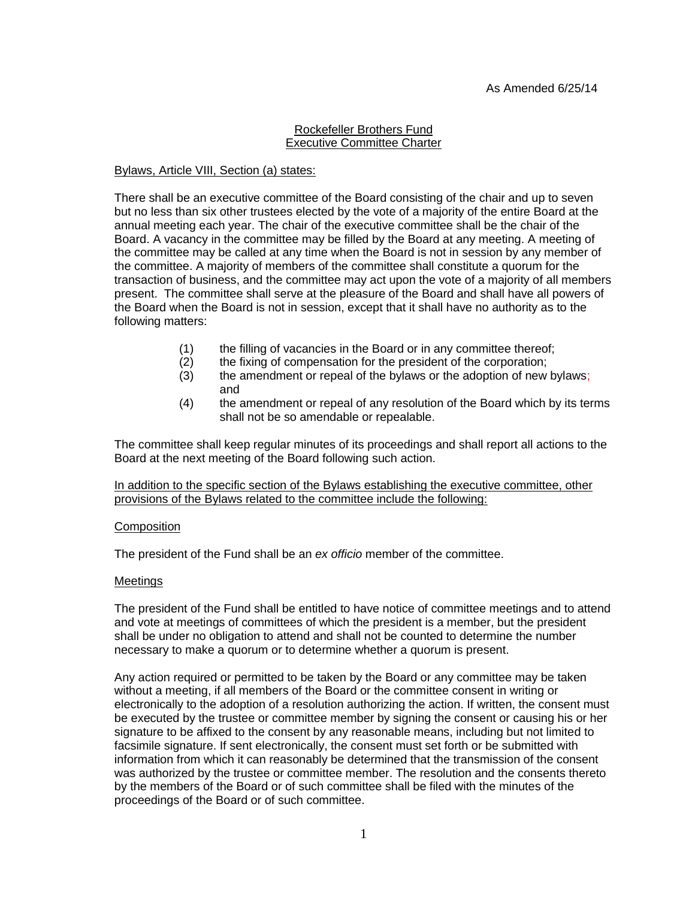### Rockefeller Brothers Fund Executive Committee Charter

# Bylaws, Article VIII, Section (a) states:

There shall be an executive committee of the Board consisting of the chair and up to seven but no less than six other trustees elected by the vote of a majority of the entire Board at the annual meeting each year. The chair of the executive committee shall be the chair of the Board. A vacancy in the committee may be filled by the Board at any meeting. A meeting of the committee may be called at any time when the Board is not in session by any member of the committee. A majority of members of the committee shall constitute a quorum for the transaction of business, and the committee may act upon the vote of a majority of all members present. The committee shall serve at the pleasure of the Board and shall have all powers of the Board when the Board is not in session, except that it shall have no authority as to the following matters:

- (1) the filling of vacancies in the Board or in any committee thereof;
- (2) the fixing of compensation for the president of the corporation;
- (3) the amendment or repeal of the bylaws or the adoption of new bylaws; and
- (4) the amendment or repeal of any resolution of the Board which by its terms shall not be so amendable or repealable.

The committee shall keep regular minutes of its proceedings and shall report all actions to the Board at the next meeting of the Board following such action.

In addition to the specific section of the Bylaws establishing the executive committee, other provisions of the Bylaws related to the committee include the following:

# **Composition**

The president of the Fund shall be an *ex officio* member of the committee.

# **Meetings**

The president of the Fund shall be entitled to have notice of committee meetings and to attend and vote at meetings of committees of which the president is a member, but the president shall be under no obligation to attend and shall not be counted to determine the number necessary to make a quorum or to determine whether a quorum is present.

Any action required or permitted to be taken by the Board or any committee may be taken without a meeting, if all members of the Board or the committee consent in writing or electronically to the adoption of a resolution authorizing the action. If written, the consent must be executed by the trustee or committee member by signing the consent or causing his or her signature to be affixed to the consent by any reasonable means, including but not limited to facsimile signature. If sent electronically, the consent must set forth or be submitted with information from which it can reasonably be determined that the transmission of the consent was authorized by the trustee or committee member. The resolution and the consents thereto by the members of the Board or of such committee shall be filed with the minutes of the proceedings of the Board or of such committee.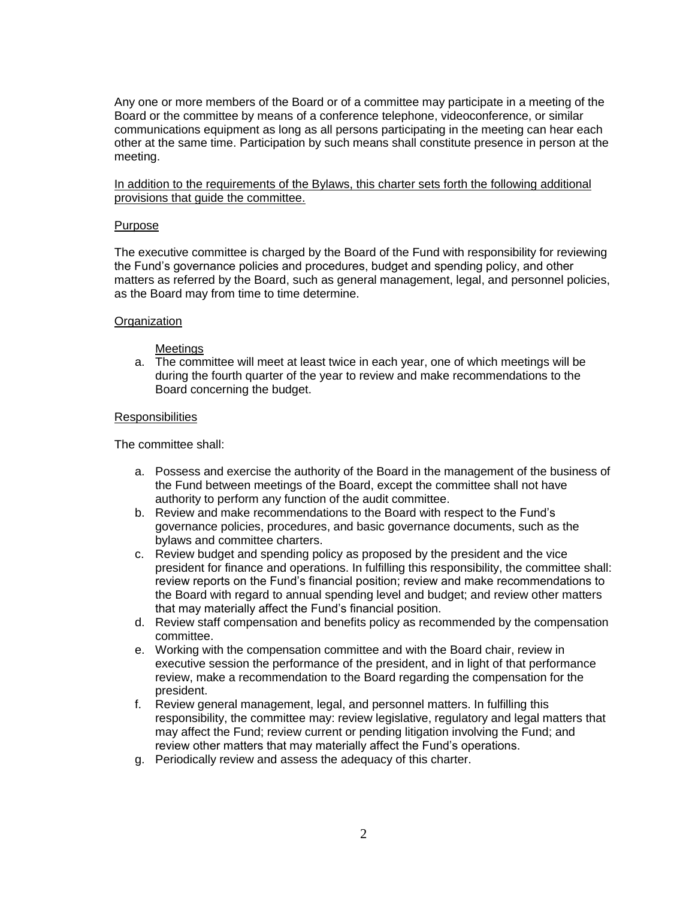Any one or more members of the Board or of a committee may participate in a meeting of the Board or the committee by means of a conference telephone, videoconference, or similar communications equipment as long as all persons participating in the meeting can hear each other at the same time. Participation by such means shall constitute presence in person at the meeting.

In addition to the requirements of the Bylaws, this charter sets forth the following additional provisions that guide the committee.

### Purpose

The executive committee is charged by the Board of the Fund with responsibility for reviewing the Fund's governance policies and procedures, budget and spending policy, and other matters as referred by the Board, such as general management, legal, and personnel policies, as the Board may from time to time determine.

# **Organization**

### Meetings

a. The committee will meet at least twice in each year, one of which meetings will be during the fourth quarter of the year to review and make recommendations to the Board concerning the budget.

### **Responsibilities**

- a. Possess and exercise the authority of the Board in the management of the business of the Fund between meetings of the Board, except the committee shall not have authority to perform any function of the audit committee.
- b. Review and make recommendations to the Board with respect to the Fund's governance policies, procedures, and basic governance documents, such as the bylaws and committee charters.
- c. Review budget and spending policy as proposed by the president and the vice president for finance and operations. In fulfilling this responsibility, the committee shall: review reports on the Fund's financial position; review and make recommendations to the Board with regard to annual spending level and budget; and review other matters that may materially affect the Fund's financial position.
- d. Review staff compensation and benefits policy as recommended by the compensation committee.
- e. Working with the compensation committee and with the Board chair, review in executive session the performance of the president, and in light of that performance review, make a recommendation to the Board regarding the compensation for the president.
- f. Review general management, legal, and personnel matters. In fulfilling this responsibility, the committee may: review legislative, regulatory and legal matters that may affect the Fund; review current or pending litigation involving the Fund; and review other matters that may materially affect the Fund's operations.
- g. Periodically review and assess the adequacy of this charter.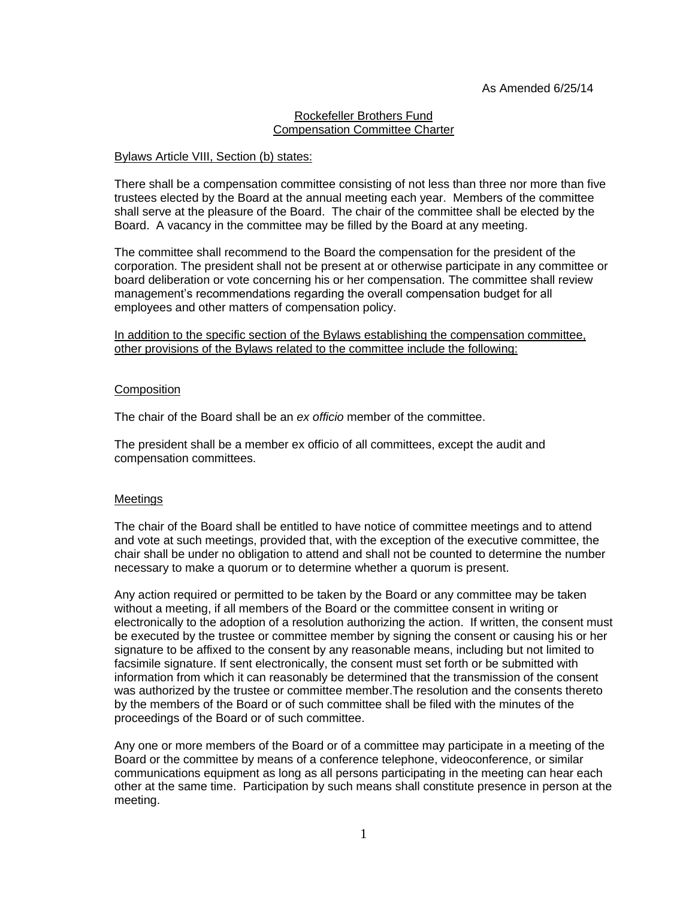### Rockefeller Brothers Fund Compensation Committee Charter

### Bylaws Article VIII, Section (b) states:

There shall be a compensation committee consisting of not less than three nor more than five trustees elected by the Board at the annual meeting each year. Members of the committee shall serve at the pleasure of the Board.The chair of the committee shall be elected by the Board.A vacancy in the committee may be filled by the Board at any meeting.

The committee shall recommend to the Board the compensation for the president of the corporation. The president shall not be present at or otherwise participate in any committee or board deliberation or vote concerning his or her compensation. The committee shall review management's recommendations regarding the overall compensation budget for all employees and other matters of compensation policy.

In addition to the specific section of the Bylaws establishing the compensation committee. other provisions of the Bylaws related to the committee include the following:

### **Composition**

The chair of the Board shall be an *ex officio* member of the committee.

The president shall be a member ex officio of all committees, except the audit and compensation committees.

# Meetings

The chair of the Board shall be entitled to have notice of committee meetings and to attend and vote at such meetings, provided that, with the exception of the executive committee, the chair shall be under no obligation to attend and shall not be counted to determine the number necessary to make a quorum or to determine whether a quorum is present.

Any action required or permitted to be taken by the Board or any committee may be taken without a meeting, if all members of the Board or the committee consent in writing or electronically to the adoption of a resolution authorizing the action. If written, the consent must be executed by the trustee or committee member by signing the consent or causing his or her signature to be affixed to the consent by any reasonable means, including but not limited to facsimile signature. If sent electronically, the consent must set forth or be submitted with information from which it can reasonably be determined that the transmission of the consent was authorized by the trustee or committee member.The resolution and the consents thereto by the members of the Board or of such committee shall be filed with the minutes of the proceedings of the Board or of such committee.

Any one or more members of the Board or of a committee may participate in a meeting of the Board or the committee by means of a conference telephone, videoconference, or similar communications equipment as long as all persons participating in the meeting can hear each other at the same time. Participation by such means shall constitute presence in person at the meeting.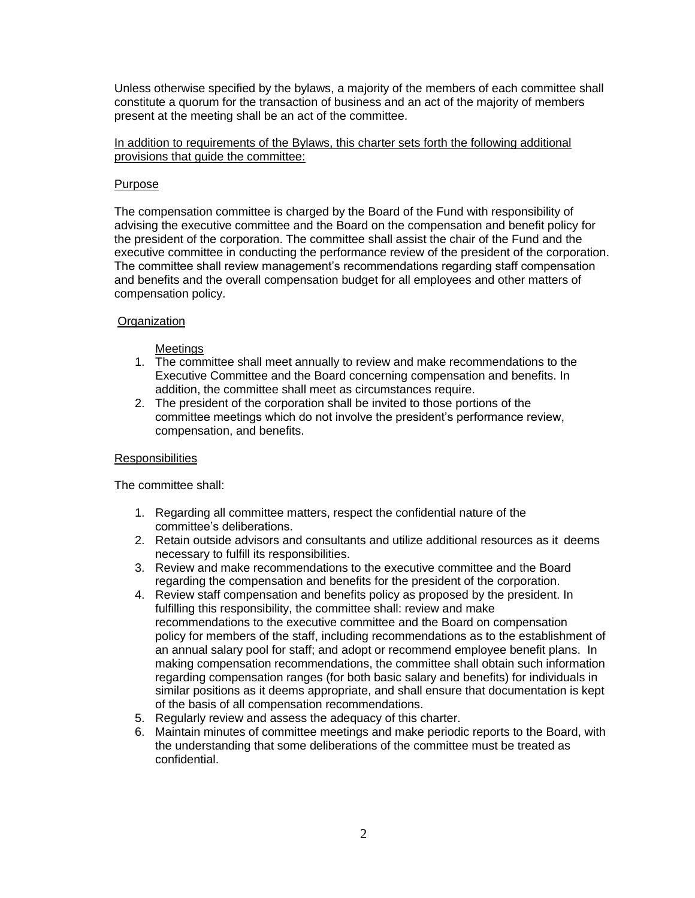Unless otherwise specified by the bylaws, a majority of the members of each committee shall constitute a quorum for the transaction of business and an act of the majority of members present at the meeting shall be an act of the committee.

In addition to requirements of the Bylaws, this charter sets forth the following additional provisions that guide the committee:

# Purpose

The compensation committee is charged by the Board of the Fund with responsibility of advising the executive committee and the Board on the compensation and benefit policy for the president of the corporation. The committee shall assist the chair of the Fund and the executive committee in conducting the performance review of the president of the corporation. The committee shall review management's recommendations regarding staff compensation and benefits and the overall compensation budget for all employees and other matters of compensation policy.

# **Organization**

# Meetings

- 1. The committee shall meet annually to review and make recommendations to the Executive Committee and the Board concerning compensation and benefits. In addition, the committee shall meet as circumstances require.
- 2. The president of the corporation shall be invited to those portions of the committee meetings which do not involve the president's performance review, compensation, and benefits.

# **Responsibilities**

- 1. Regarding all committee matters, respect the confidential nature of the committee's deliberations.
- 2. Retain outside advisors and consultants and utilize additional resources as it deems necessary to fulfill its responsibilities.
- 3. Review and make recommendations to the executive committee and the Board regarding the compensation and benefits for the president of the corporation.
- 4. Review staff compensation and benefits policy as proposed by the president. In fulfilling this responsibility, the committee shall: review and make recommendations to the executive committee and the Board on compensation policy for members of the staff, including recommendations as to the establishment of an annual salary pool for staff; and adopt or recommend employee benefit plans. In making compensation recommendations, the committee shall obtain such information regarding compensation ranges (for both basic salary and benefits) for individuals in similar positions as it deems appropriate, and shall ensure that documentation is kept of the basis of all compensation recommendations.
- 5. Regularly review and assess the adequacy of this charter.
- 6. Maintain minutes of committee meetings and make periodic reports to the Board, with the understanding that some deliberations of the committee must be treated as confidential.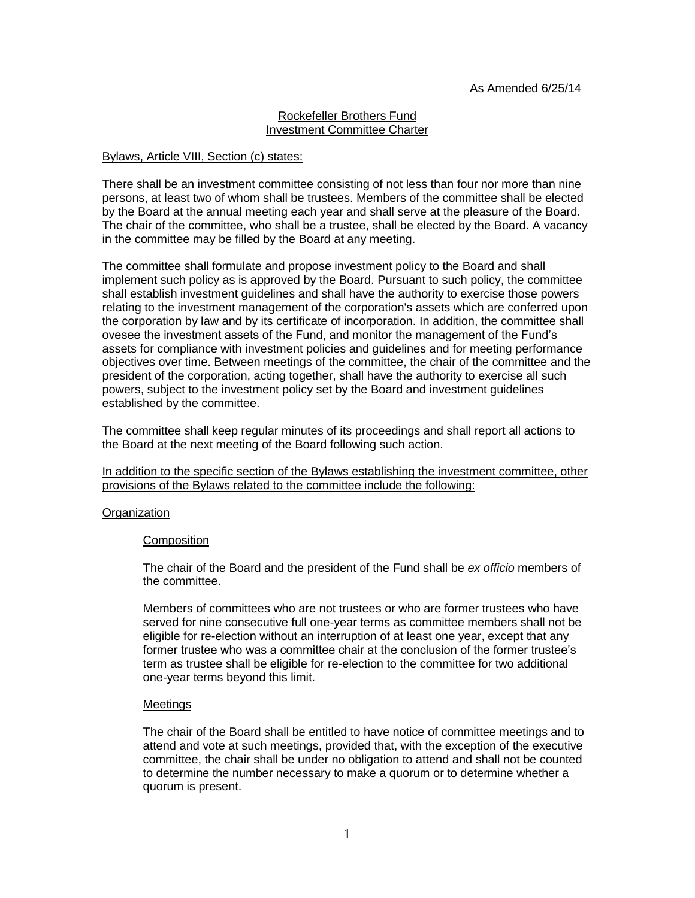### Rockefeller Brothers Fund Investment Committee Charter

### Bylaws, Article VIII, Section (c) states:

There shall be an investment committee consisting of not less than four nor more than nine persons, at least two of whom shall be trustees. Members of the committee shall be elected by the Board at the annual meeting each year and shall serve at the pleasure of the Board. The chair of the committee, who shall be a trustee, shall be elected by the Board. A vacancy in the committee may be filled by the Board at any meeting.

The committee shall formulate and propose investment policy to the Board and shall implement such policy as is approved by the Board. Pursuant to such policy, the committee shall establish investment guidelines and shall have the authority to exercise those powers relating to the investment management of the corporation's assets which are conferred upon the corporation by law and by its certificate of incorporation. In addition, the committee shall ovesee the investment assets of the Fund, and monitor the management of the Fund's assets for compliance with investment policies and guidelines and for meeting performance objectives over time. Between meetings of the committee, the chair of the committee and the president of the corporation, acting together, shall have the authority to exercise all such powers, subject to the investment policy set by the Board and investment guidelines established by the committee.

The committee shall keep regular minutes of its proceedings and shall report all actions to the Board at the next meeting of the Board following such action.

In addition to the specific section of the Bylaws establishing the investment committee, other provisions of the Bylaws related to the committee include the following:

### **Organization**

### Composition

The chair of the Board and the president of the Fund shall be *ex officio* members of the committee.

Members of committees who are not trustees or who are former trustees who have served for nine consecutive full one-year terms as committee members shall not be eligible for re-election without an interruption of at least one year, except that any former trustee who was a committee chair at the conclusion of the former trustee's term as trustee shall be eligible for re-election to the committee for two additional one-year terms beyond this limit.

### **Meetings**

The chair of the Board shall be entitled to have notice of committee meetings and to attend and vote at such meetings, provided that, with the exception of the executive committee, the chair shall be under no obligation to attend and shall not be counted to determine the number necessary to make a quorum or to determine whether a quorum is present.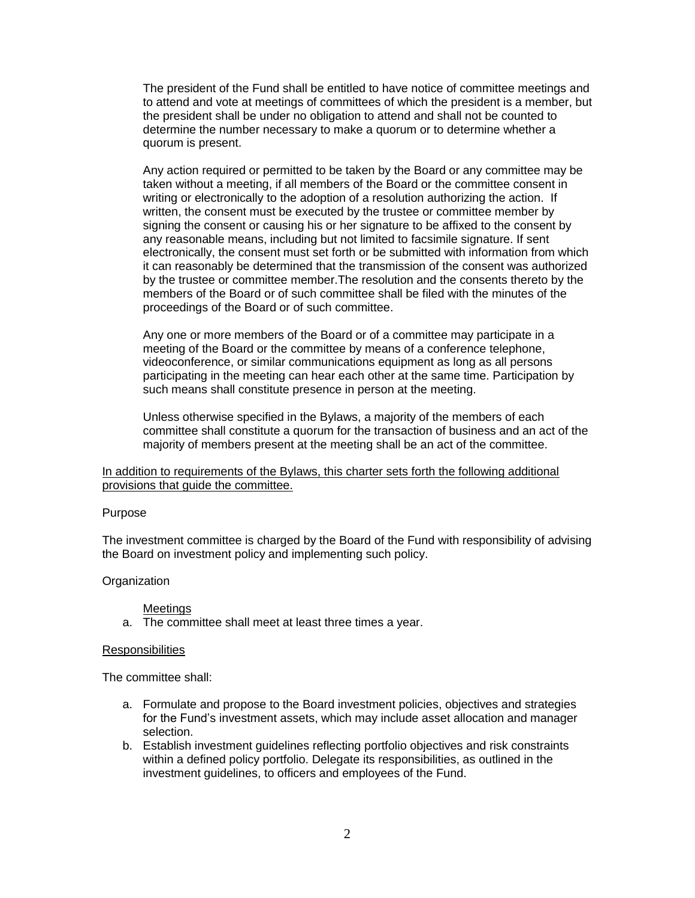The president of the Fund shall be entitled to have notice of committee meetings and to attend and vote at meetings of committees of which the president is a member, but the president shall be under no obligation to attend and shall not be counted to determine the number necessary to make a quorum or to determine whether a quorum is present.

Any action required or permitted to be taken by the Board or any committee may be taken without a meeting, if all members of the Board or the committee consent in writing or electronically to the adoption of a resolution authorizing the action. If written, the consent must be executed by the trustee or committee member by signing the consent or causing his or her signature to be affixed to the consent by any reasonable means, including but not limited to facsimile signature. If sent electronically, the consent must set forth or be submitted with information from which it can reasonably be determined that the transmission of the consent was authorized by the trustee or committee member.The resolution and the consents thereto by the members of the Board or of such committee shall be filed with the minutes of the proceedings of the Board or of such committee.

Any one or more members of the Board or of a committee may participate in a meeting of the Board or the committee by means of a conference telephone, videoconference, or similar communications equipment as long as all persons participating in the meeting can hear each other at the same time. Participation by such means shall constitute presence in person at the meeting.

Unless otherwise specified in the Bylaws, a majority of the members of each committee shall constitute a quorum for the transaction of business and an act of the majority of members present at the meeting shall be an act of the committee.

In addition to requirements of the Bylaws, this charter sets forth the following additional provisions that guide the committee.

### Purpose

The investment committee is charged by the Board of the Fund with responsibility of advising the Board on investment policy and implementing such policy.

### **Organization**

### Meetings

a. The committee shall meet at least three times a year.

### **Responsibilities**

- a. Formulate and propose to the Board investment policies, objectives and strategies for the Fund's investment assets, which may include asset allocation and manager selection.
- b. Establish investment guidelines reflecting portfolio objectives and risk constraints within a defined policy portfolio. Delegate its responsibilities, as outlined in the investment guidelines, to officers and employees of the Fund.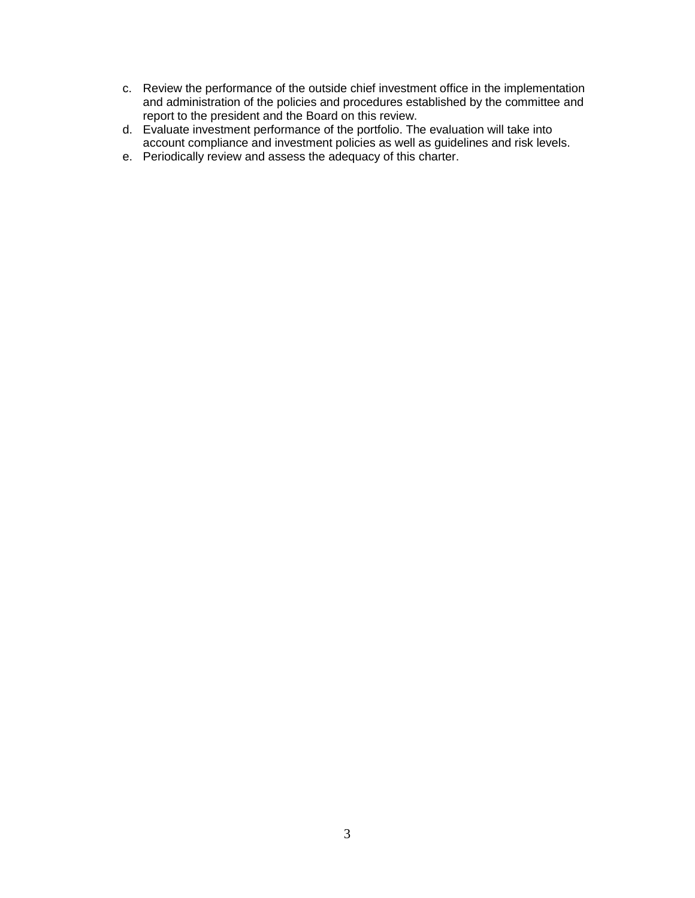- c. Review the performance of the outside chief investment office in the implementation and administration of the policies and procedures established by the committee and report to the president and the Board on this review.
- d. Evaluate investment performance of the portfolio. The evaluation will take into account compliance and investment policies as well as guidelines and risk levels.
- e. Periodically review and assess the adequacy of this charter.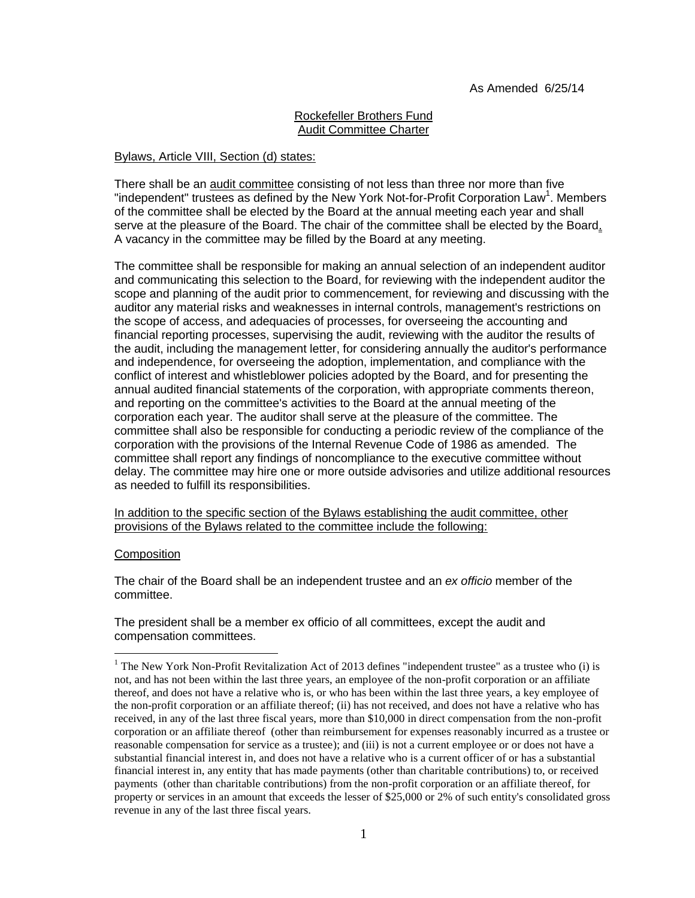# Rockefeller Brothers Fund Audit Committee Charter

## Bylaws, Article VIII, Section (d) states:

There shall be an audit committee consisting of not less than three nor more than five "independent" trustees as defined by the New York Not-for-Profit Corporation Law<sup>1</sup>. Members of the committee shall be elected by the Board at the annual meeting each year and shall serve at the pleasure of the Board. The chair of the committee shall be elected by the Board. A vacancy in the committee may be filled by the Board at any meeting.

The committee shall be responsible for making an annual selection of an independent auditor and communicating this selection to the Board, for reviewing with the independent auditor the scope and planning of the audit prior to commencement, for reviewing and discussing with the auditor any material risks and weaknesses in internal controls, management's restrictions on the scope of access, and adequacies of processes, for overseeing the accounting and financial reporting processes, supervising the audit, reviewing with the auditor the results of the audit, including the management letter, for considering annually the auditor's performance and independence, for overseeing the adoption, implementation, and compliance with the conflict of interest and whistleblower policies adopted by the Board, and for presenting the annual audited financial statements of the corporation, with appropriate comments thereon, and reporting on the committee's activities to the Board at the annual meeting of the corporation each year. The auditor shall serve at the pleasure of the committee. The committee shall also be responsible for conducting a periodic review of the compliance of the corporation with the provisions of the Internal Revenue Code of 1986 as amended. The committee shall report any findings of noncompliance to the executive committee without delay. The committee may hire one or more outside advisories and utilize additional resources as needed to fulfill its responsibilities.

In addition to the specific section of the Bylaws establishing the audit committee, other provisions of the Bylaws related to the committee include the following:

### Composition

 $\overline{a}$ 

The chair of the Board shall be an independent trustee and an *ex officio* member of the committee.

The president shall be a member ex officio of all committees, except the audit and compensation committees.

 $1$  The New York Non-Profit Revitalization Act of 2013 defines "independent trustee" as a trustee who (i) is not, and has not been within the last three years, an employee of the non-profit corporation or an affiliate thereof, and does not have a relative who is, or who has been within the last three years, a key employee of the non-profit corporation or an affiliate thereof; (ii) has not received, and does not have a relative who has received, in any of the last three fiscal years, more than \$10,000 in direct compensation from the non-profit corporation or an affiliate thereof (other than reimbursement for expenses reasonably incurred as a trustee or reasonable compensation for service as a trustee); and (iii) is not a current employee or or does not have a substantial financial interest in, and does not have a relative who is a current officer of or has a substantial financial interest in, any entity that has made payments (other than charitable contributions) to, or received payments (other than charitable contributions) from the non-profit corporation or an affiliate thereof, for property or services in an amount that exceeds the lesser of \$25,000 or 2% of such entity's consolidated gross revenue in any of the last three fiscal years.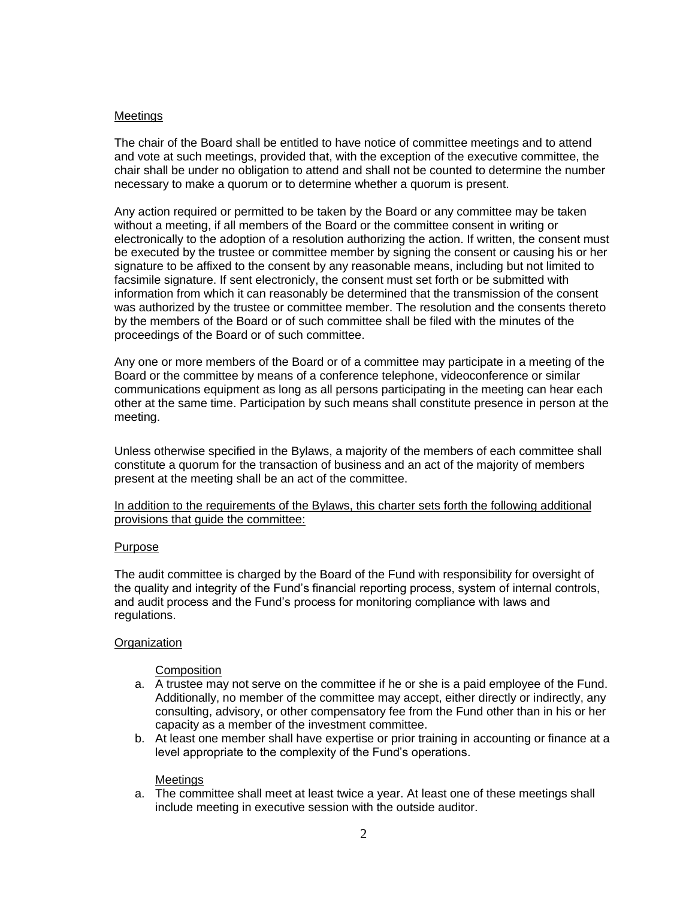## Meetings

The chair of the Board shall be entitled to have notice of committee meetings and to attend and vote at such meetings, provided that, with the exception of the executive committee, the chair shall be under no obligation to attend and shall not be counted to determine the number necessary to make a quorum or to determine whether a quorum is present.

Any action required or permitted to be taken by the Board or any committee may be taken without a meeting, if all members of the Board or the committee consent in writing or electronically to the adoption of a resolution authorizing the action. If written, the consent must be executed by the trustee or committee member by signing the consent or causing his or her signature to be affixed to the consent by any reasonable means, including but not limited to facsimile signature. If sent electronicly, the consent must set forth or be submitted with information from which it can reasonably be determined that the transmission of the consent was authorized by the trustee or committee member. The resolution and the consents thereto by the members of the Board or of such committee shall be filed with the minutes of the proceedings of the Board or of such committee.

Any one or more members of the Board or of a committee may participate in a meeting of the Board or the committee by means of a conference telephone, videoconference or similar communications equipment as long as all persons participating in the meeting can hear each other at the same time. Participation by such means shall constitute presence in person at the meeting.

Unless otherwise specified in the Bylaws, a majority of the members of each committee shall constitute a quorum for the transaction of business and an act of the majority of members present at the meeting shall be an act of the committee.

### In addition to the requirements of the Bylaws, this charter sets forth the following additional provisions that guide the committee:

### Purpose

The audit committee is charged by the Board of the Fund with responsibility for oversight of the quality and integrity of the Fund's financial reporting process, system of internal controls, and audit process and the Fund's process for monitoring compliance with laws and regulations.

### **Organization**

# **Composition**

- a. A trustee may not serve on the committee if he or she is a paid employee of the Fund. Additionally, no member of the committee may accept, either directly or indirectly, any consulting, advisory, or other compensatory fee from the Fund other than in his or her capacity as a member of the investment committee.
- b. At least one member shall have expertise or prior training in accounting or finance at a level appropriate to the complexity of the Fund's operations.

### Meetings

a. The committee shall meet at least twice a year. At least one of these meetings shall include meeting in executive session with the outside auditor.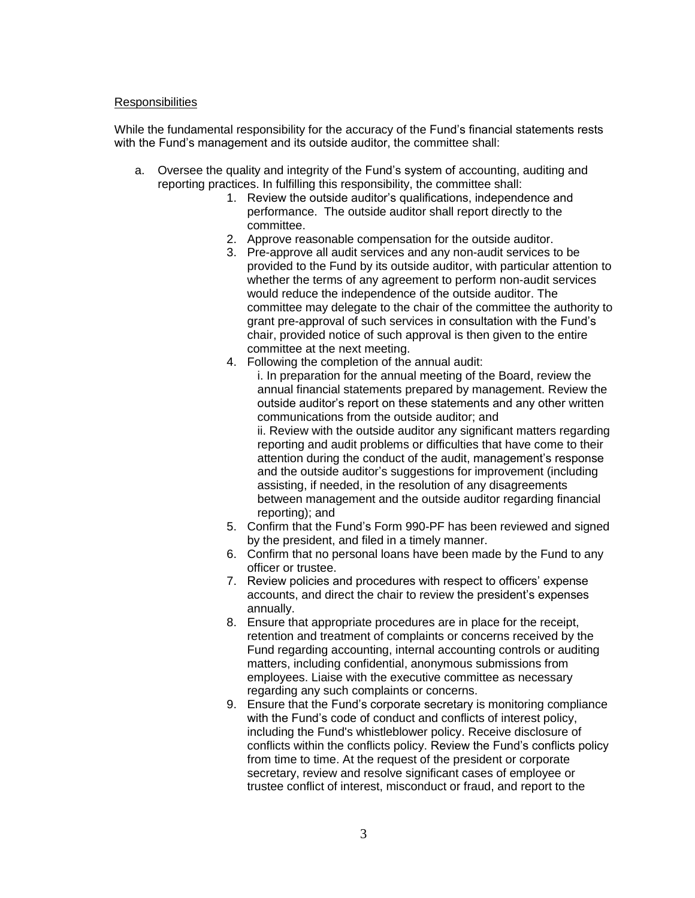### **Responsibilities**

While the fundamental responsibility for the accuracy of the Fund's financial statements rests with the Fund's management and its outside auditor, the committee shall:

- a. Oversee the quality and integrity of the Fund's system of accounting, auditing and reporting practices. In fulfilling this responsibility, the committee shall:
	- 1. Review the outside auditor's qualifications, independence and performance. The outside auditor shall report directly to the committee.
	- 2. Approve reasonable compensation for the outside auditor.
	- 3. Pre-approve all audit services and any non-audit services to be provided to the Fund by its outside auditor, with particular attention to whether the terms of any agreement to perform non-audit services would reduce the independence of the outside auditor. The committee may delegate to the chair of the committee the authority to grant pre-approval of such services in consultation with the Fund's chair, provided notice of such approval is then given to the entire committee at the next meeting.
	- 4. Following the completion of the annual audit: i. In preparation for the annual meeting of the Board, review the annual financial statements prepared by management. Review the outside auditor's report on these statements and any other written communications from the outside auditor; and ii. Review with the outside auditor any significant matters regarding reporting and audit problems or difficulties that have come to their attention during the conduct of the audit, management's response and the outside auditor's suggestions for improvement (including assisting, if needed, in the resolution of any disagreements between management and the outside auditor regarding financial reporting); and
	- 5. Confirm that the Fund's Form 990-PF has been reviewed and signed by the president, and filed in a timely manner.
	- 6. Confirm that no personal loans have been made by the Fund to any officer or trustee.
	- 7. Review policies and procedures with respect to officers' expense accounts, and direct the chair to review the president's expenses annually.
	- 8. Ensure that appropriate procedures are in place for the receipt, retention and treatment of complaints or concerns received by the Fund regarding accounting, internal accounting controls or auditing matters, including confidential, anonymous submissions from employees. Liaise with the executive committee as necessary regarding any such complaints or concerns.
	- 9. Ensure that the Fund's corporate secretary is monitoring compliance with the Fund's code of conduct and conflicts of interest policy, including the Fund's whistleblower policy. Receive disclosure of conflicts within the conflicts policy. Review the Fund's conflicts policy from time to time. At the request of the president or corporate secretary, review and resolve significant cases of employee or trustee conflict of interest, misconduct or fraud, and report to the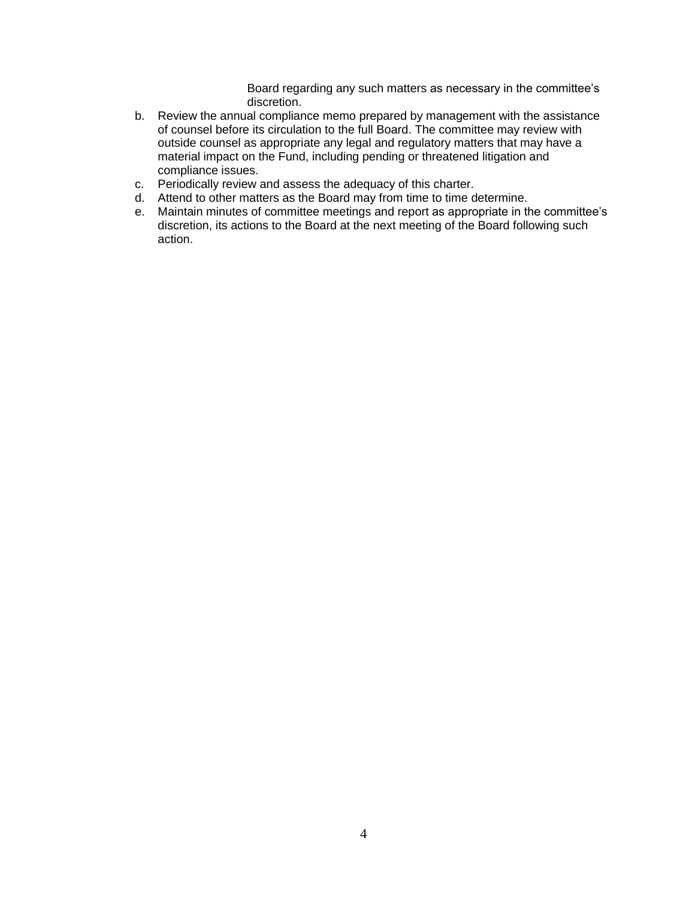Board regarding any such matters as necessary in the committee's discretion.

- b. Review the annual compliance memo prepared by management with the assistance of counsel before its circulation to the full Board. The committee may review with outside counsel as appropriate any legal and regulatory matters that may have a material impact on the Fund, including pending or threatened litigation and compliance issues.
- c. Periodically review and assess the adequacy of this charter.
- d. Attend to other matters as the Board may from time to time determine.
- e. Maintain minutes of committee meetings and report as appropriate in the committee's discretion, its actions to the Board at the next meeting of the Board following such action.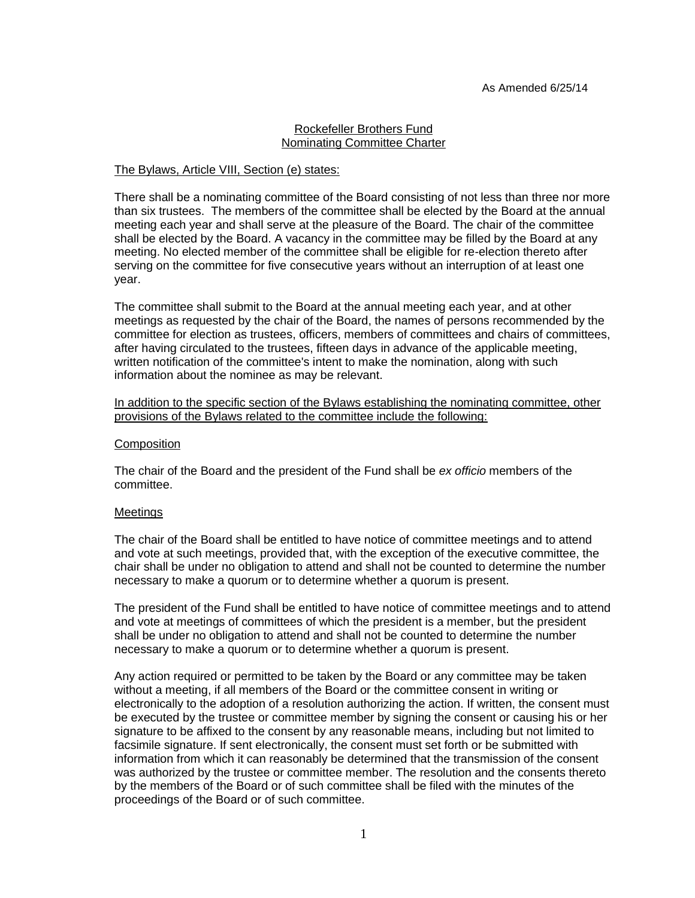# Rockefeller Brothers Fund Nominating Committee Charter

### The Bylaws, Article VIII, Section (e) states:

There shall be a nominating committee of the Board consisting of not less than three nor more than six trustees. The members of the committee shall be elected by the Board at the annual meeting each year and shall serve at the pleasure of the Board. The chair of the committee shall be elected by the Board. A vacancy in the committee may be filled by the Board at any meeting. No elected member of the committee shall be eligible for re-election thereto after serving on the committee for five consecutive years without an interruption of at least one year.

The committee shall submit to the Board at the annual meeting each year, and at other meetings as requested by the chair of the Board, the names of persons recommended by the committee for election as trustees, officers, members of committees and chairs of committees, after having circulated to the trustees, fifteen days in advance of the applicable meeting, written notification of the committee's intent to make the nomination, along with such information about the nominee as may be relevant.

### In addition to the specific section of the Bylaws establishing the nominating committee, other provisions of the Bylaws related to the committee include the following:

### **Composition**

The chair of the Board and the president of the Fund shall be *ex officio* members of the committee.

# Meetings

The chair of the Board shall be entitled to have notice of committee meetings and to attend and vote at such meetings, provided that, with the exception of the executive committee, the chair shall be under no obligation to attend and shall not be counted to determine the number necessary to make a quorum or to determine whether a quorum is present.

The president of the Fund shall be entitled to have notice of committee meetings and to attend and vote at meetings of committees of which the president is a member, but the president shall be under no obligation to attend and shall not be counted to determine the number necessary to make a quorum or to determine whether a quorum is present.

Any action required or permitted to be taken by the Board or any committee may be taken without a meeting, if all members of the Board or the committee consent in writing or electronically to the adoption of a resolution authorizing the action. If written, the consent must be executed by the trustee or committee member by signing the consent or causing his or her signature to be affixed to the consent by any reasonable means, including but not limited to facsimile signature. If sent electronically, the consent must set forth or be submitted with information from which it can reasonably be determined that the transmission of the consent was authorized by the trustee or committee member. The resolution and the consents thereto by the members of the Board or of such committee shall be filed with the minutes of the proceedings of the Board or of such committee.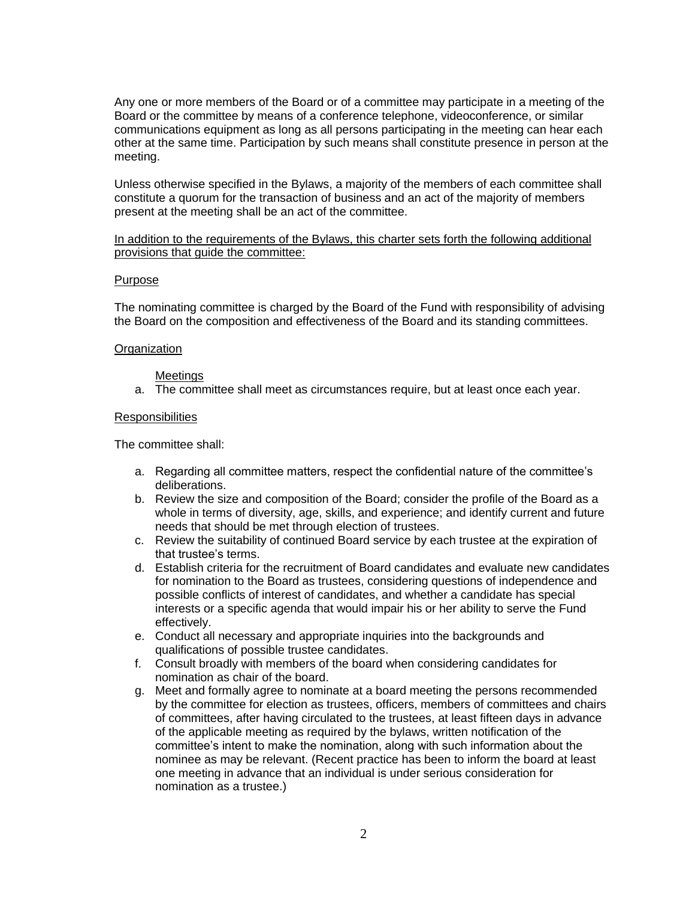Any one or more members of the Board or of a committee may participate in a meeting of the Board or the committee by means of a conference telephone, videoconference, or similar communications equipment as long as all persons participating in the meeting can hear each other at the same time. Participation by such means shall constitute presence in person at the meeting.

Unless otherwise specified in the Bylaws, a majority of the members of each committee shall constitute a quorum for the transaction of business and an act of the majority of members present at the meeting shall be an act of the committee.

In addition to the requirements of the Bylaws, this charter sets forth the following additional provisions that guide the committee:

### Purpose

The nominating committee is charged by the Board of the Fund with responsibility of advising the Board on the composition and effectiveness of the Board and its standing committees.

#### **Organization**

#### **Meetings**

a. The committee shall meet as circumstances require, but at least once each year.

#### **Responsibilities**

- a. Regarding all committee matters, respect the confidential nature of the committee's deliberations.
- b. Review the size and composition of the Board; consider the profile of the Board as a whole in terms of diversity, age, skills, and experience; and identify current and future needs that should be met through election of trustees.
- c. Review the suitability of continued Board service by each trustee at the expiration of that trustee's terms.
- d. Establish criteria for the recruitment of Board candidates and evaluate new candidates for nomination to the Board as trustees, considering questions of independence and possible conflicts of interest of candidates, and whether a candidate has special interests or a specific agenda that would impair his or her ability to serve the Fund effectively.
- e. Conduct all necessary and appropriate inquiries into the backgrounds and qualifications of possible trustee candidates.
- f. Consult broadly with members of the board when considering candidates for nomination as chair of the board.
- g. Meet and formally agree to nominate at a board meeting the persons recommended by the committee for election as trustees, officers, members of committees and chairs of committees, after having circulated to the trustees, at least fifteen days in advance of the applicable meeting as required by the bylaws, written notification of the committee's intent to make the nomination, along with such information about the nominee as may be relevant. (Recent practice has been to inform the board at least one meeting in advance that an individual is under serious consideration for nomination as a trustee.)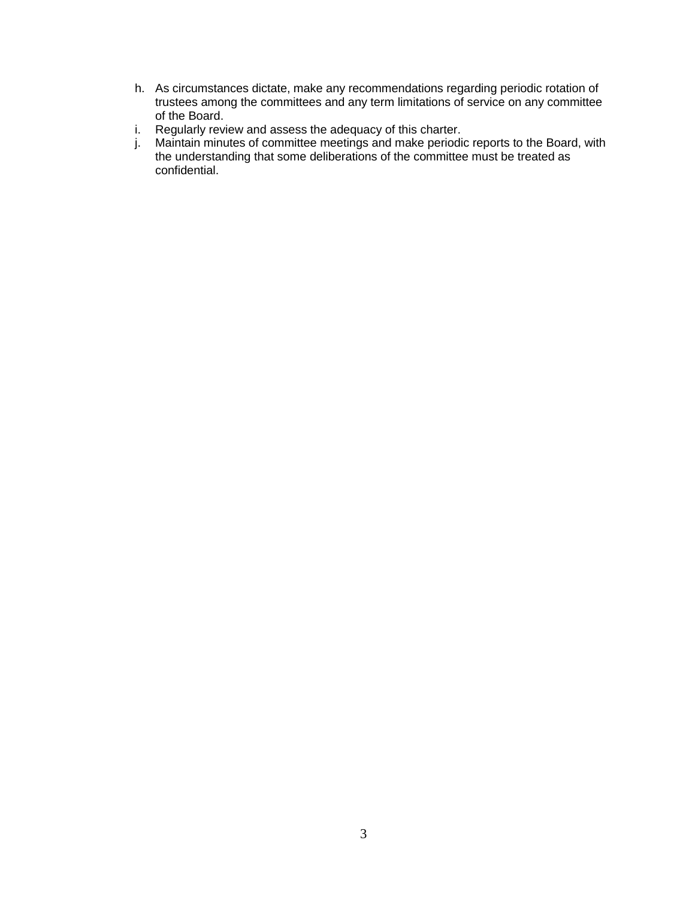- h. As circumstances dictate, make any recommendations regarding periodic rotation of trustees among the committees and any term limitations of service on any committee of the Board.
- i. Regularly review and assess the adequacy of this charter.
- j. Maintain minutes of committee meetings and make periodic reports to the Board, with the understanding that some deliberations of the committee must be treated as confidential.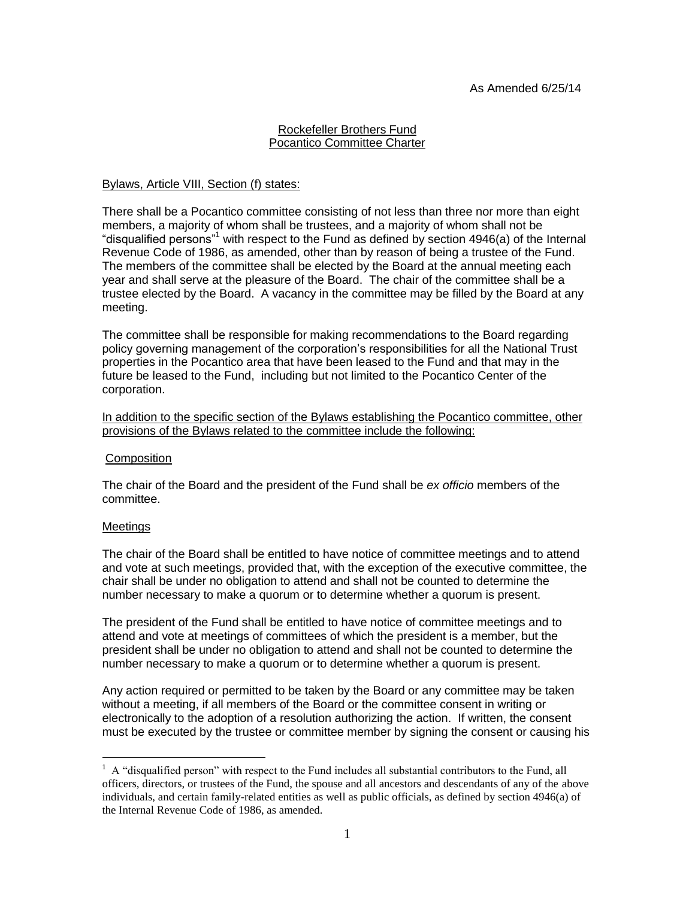### Rockefeller Brothers Fund Pocantico Committee Charter

## Bylaws, Article VIII, Section (f) states:

There shall be a Pocantico committee consisting of not less than three nor more than eight members, a majority of whom shall be trustees, and a majority of whom shall not be "disqualified persons"<sup>1</sup> with respect to the Fund as defined by section 4946(a) of the Internal Revenue Code of 1986, as amended, other than by reason of being a trustee of the Fund. The members of the committee shall be elected by the Board at the annual meeting each year and shall serve at the pleasure of the Board. The chair of the committee shall be a trustee elected by the Board. A vacancy in the committee may be filled by the Board at any meeting.

The committee shall be responsible for making recommendations to the Board regarding policy governing management of the corporation's responsibilities for all the National Trust properties in the Pocantico area that have been leased to the Fund and that may in the future be leased to the Fund, including but not limited to the Pocantico Center of the corporation.

In addition to the specific section of the Bylaws establishing the Pocantico committee, other provisions of the Bylaws related to the committee include the following:

### **Composition**

The chair of the Board and the president of the Fund shall be *ex officio* members of the committee.

### Meetings

 $\overline{a}$ 

The chair of the Board shall be entitled to have notice of committee meetings and to attend and vote at such meetings, provided that, with the exception of the executive committee, the chair shall be under no obligation to attend and shall not be counted to determine the number necessary to make a quorum or to determine whether a quorum is present.

The president of the Fund shall be entitled to have notice of committee meetings and to attend and vote at meetings of committees of which the president is a member, but the president shall be under no obligation to attend and shall not be counted to determine the number necessary to make a quorum or to determine whether a quorum is present.

Any action required or permitted to be taken by the Board or any committee may be taken without a meeting, if all members of the Board or the committee consent in writing or electronically to the adoption of a resolution authorizing the action. If written, the consent must be executed by the trustee or committee member by signing the consent or causing his

 $1$  A "disqualified person" with respect to the Fund includes all substantial contributors to the Fund, all officers, directors, or trustees of the Fund, the spouse and all ancestors and descendants of any of the above individuals, and certain family-related entities as well as public officials, as defined by section 4946(a) of the Internal Revenue Code of 1986, as amended.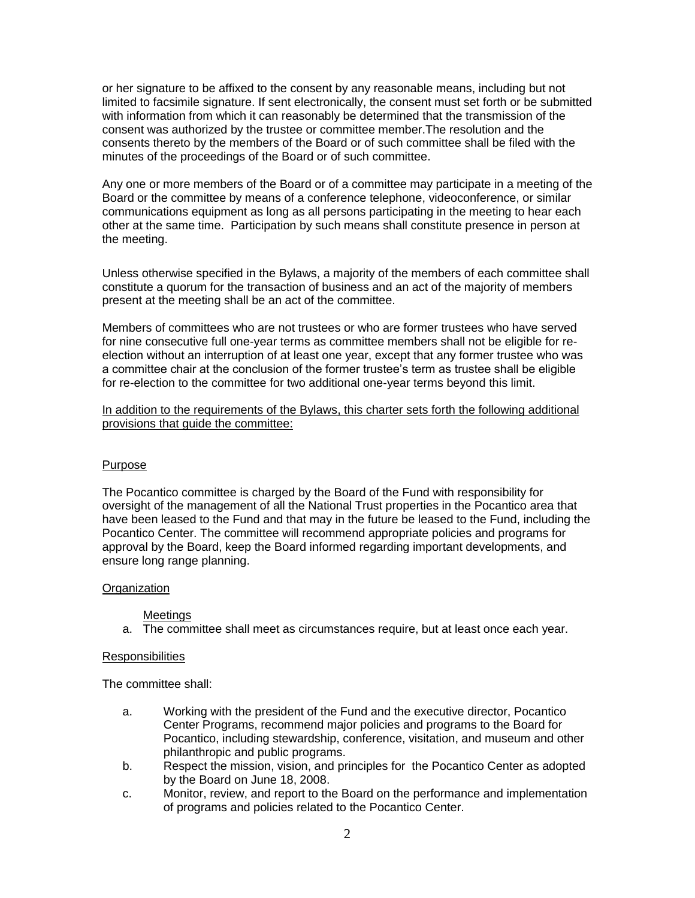or her signature to be affixed to the consent by any reasonable means, including but not limited to facsimile signature. If sent electronically, the consent must set forth or be submitted with information from which it can reasonably be determined that the transmission of the consent was authorized by the trustee or committee member.The resolution and the consents thereto by the members of the Board or of such committee shall be filed with the minutes of the proceedings of the Board or of such committee.

Any one or more members of the Board or of a committee may participate in a meeting of the Board or the committee by means of a conference telephone, videoconference, or similar communications equipment as long as all persons participating in the meeting to hear each other at the same time. Participation by such means shall constitute presence in person at the meeting.

Unless otherwise specified in the Bylaws, a majority of the members of each committee shall constitute a quorum for the transaction of business and an act of the majority of members present at the meeting shall be an act of the committee.

Members of committees who are not trustees or who are former trustees who have served for nine consecutive full one-year terms as committee members shall not be eligible for reelection without an interruption of at least one year, except that any former trustee who was a committee chair at the conclusion of the former trustee's term as trustee shall be eligible for re-election to the committee for two additional one-year terms beyond this limit.

In addition to the requirements of the Bylaws, this charter sets forth the following additional provisions that guide the committee:

# Purpose

The Pocantico committee is charged by the Board of the Fund with responsibility for oversight of the management of all the National Trust properties in the Pocantico area that have been leased to the Fund and that may in the future be leased to the Fund, including the Pocantico Center. The committee will recommend appropriate policies and programs for approval by the Board, keep the Board informed regarding important developments, and ensure long range planning.

# **Organization**

# Meetings

a. The committee shall meet as circumstances require, but at least once each year.

# **Responsibilities**

- a. Working with the president of the Fund and the executive director, Pocantico Center Programs, recommend major policies and programs to the Board for Pocantico, including stewardship, conference, visitation, and museum and other philanthropic and public programs.
- b. Respect the mission, vision, and principles for the Pocantico Center as adopted by the Board on June 18, 2008.
- c. Monitor, review, and report to the Board on the performance and implementation of programs and policies related to the Pocantico Center.